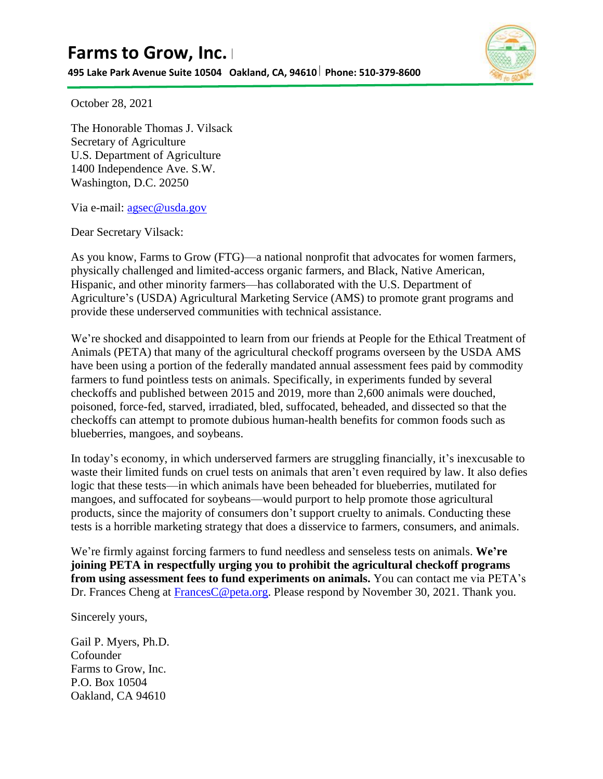**495 Lake Park Avenue Suite 10504 Oakland, CA, 94610 Phone: 510-379-8600**



October 28, 2021

The Honorable Thomas J. Vilsack Secretary of Agriculture U.S. Department of Agriculture 1400 Independence Ave. S.W. Washington, D.C. 20250

Via e-mail: [agsec@usda.gov](mailto:agsec@usda.gov)

Dear Secretary Vilsack:

As you know, Farms to Grow (FTG)—a national nonprofit that advocates for women farmers, physically challenged and limited-access organic farmers, and Black, Native American, Hispanic, and other minority farmers—has collaborated with the U.S. Department of Agriculture's (USDA) Agricultural Marketing Service (AMS) to promote grant programs and provide these underserved communities with technical assistance.

We're shocked and disappointed to learn from our friends at People for the Ethical Treatment of Animals (PETA) that many of the agricultural checkoff programs overseen by the USDA AMS have been using a portion of the federally mandated annual assessment fees paid by commodity farmers to fund pointless tests on animals. Specifically, in experiments funded by several checkoffs and published between 2015 and 2019, more than 2,600 animals were douched, poisoned, force-fed, starved, irradiated, bled, suffocated, beheaded, and dissected so that the checkoffs can attempt to promote dubious human-health benefits for common foods such as blueberries, mangoes, and soybeans.

In today's economy, in which underserved farmers are struggling financially, it's inexcusable to waste their limited funds on cruel tests on animals that aren't even required by law. It also defies logic that these tests—in which animals have been beheaded for blueberries, mutilated for mangoes, and suffocated for soybeans—would purport to help promote those agricultural products, since the majority of consumers don't support cruelty to animals. Conducting these tests is a horrible marketing strategy that does a disservice to farmers, consumers, and animals.

We're firmly against forcing farmers to fund needless and senseless tests on animals. **We're joining PETA in respectfully urging you to prohibit the agricultural checkoff programs from using assessment fees to fund experiments on animals.** You can contact me via PETA's Dr. Frances Cheng at [FrancesC@peta.org.](mailto:FrancesC@peta.org) Please respond by November 30, 2021. Thank you.

Sincerely yours,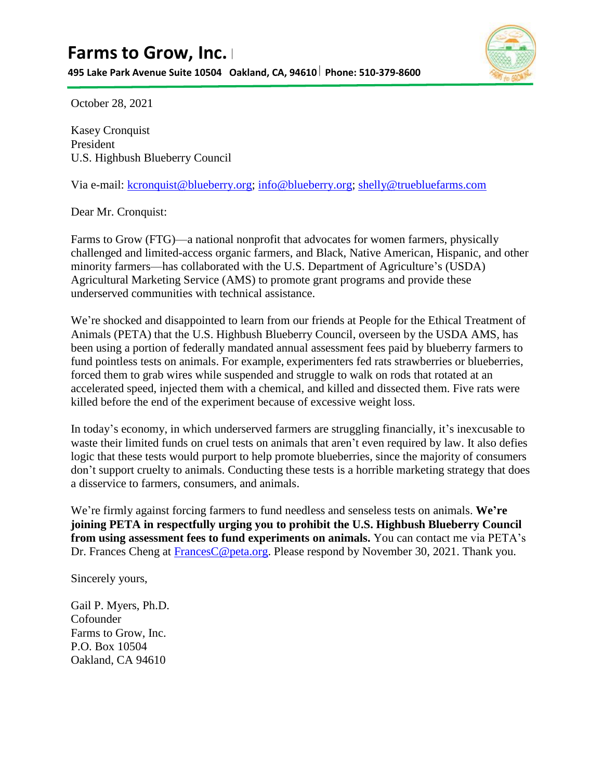**495 Lake Park Avenue Suite 10504 Oakland, CA, 94610 Phone: 510-379-8600**



October 28, 2021

Kasey Cronquist President U.S. Highbush Blueberry Council

Via e-mail: [kcronquist@blueberry.org;](mailto:kcronquist@blueberry.org) [info@blueberry.org;](mailto:info@blueberry.org) [shelly@truebluefarms.com](mailto:shelly@truebluefarms.com)

Dear Mr. Cronquist:

Farms to Grow (FTG)—a national nonprofit that advocates for women farmers, physically challenged and limited-access organic farmers, and Black, Native American, Hispanic, and other minority farmers—has collaborated with the U.S. Department of Agriculture's (USDA) Agricultural Marketing Service (AMS) to promote grant programs and provide these underserved communities with technical assistance.

We're shocked and disappointed to learn from our friends at People for the Ethical Treatment of Animals (PETA) that the U.S. Highbush Blueberry Council, overseen by the USDA AMS, has been using a portion of federally mandated annual assessment fees paid by blueberry farmers to fund pointless tests on animals. For example, experimenters fed rats strawberries or blueberries, forced them to grab wires while suspended and struggle to walk on rods that rotated at an accelerated speed, injected them with a chemical, and killed and dissected them. Five rats were killed before the end of the experiment because of excessive weight loss.

In today's economy, in which underserved farmers are struggling financially, it's inexcusable to waste their limited funds on cruel tests on animals that aren't even required by law. It also defies logic that these tests would purport to help promote blueberries, since the majority of consumers don't support cruelty to animals. Conducting these tests is a horrible marketing strategy that does a disservice to farmers, consumers, and animals.

We're firmly against forcing farmers to fund needless and senseless tests on animals. **We're joining PETA in respectfully urging you to prohibit the U.S. Highbush Blueberry Council from using assessment fees to fund experiments on animals.** You can contact me via PETA's Dr. Frances Cheng at [FrancesC@peta.org.](mailto:FrancesC@peta.org) Please respond by November 30, 2021. Thank you.

Sincerely yours,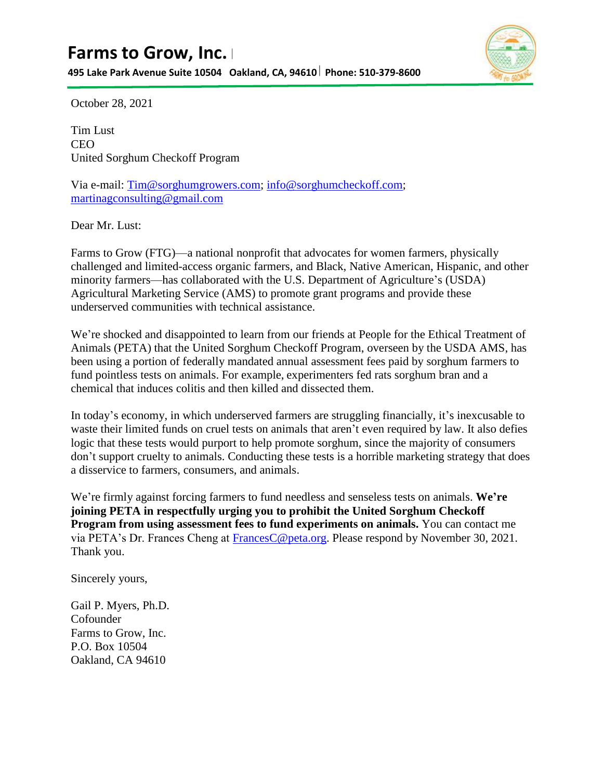**495 Lake Park Avenue Suite 10504 Oakland, CA, 94610 Phone: 510-379-8600**



October 28, 2021

Tim Lust CEO United Sorghum Checkoff Program

Via e-mail: [Tim@sorghumgrowers.com;](mailto:Tim@sorghumgrowers.com) [info@sorghumcheckoff.com;](mailto:info@sorghumcheckoff.com) [martinagconsulting@gmail.com](mailto:martinagconsulting@gmail.com)

Dear Mr. Lust:

Farms to Grow (FTG)—a national nonprofit that advocates for women farmers, physically challenged and limited-access organic farmers, and Black, Native American, Hispanic, and other minority farmers—has collaborated with the U.S. Department of Agriculture's (USDA) Agricultural Marketing Service (AMS) to promote grant programs and provide these underserved communities with technical assistance.

We're shocked and disappointed to learn from our friends at People for the Ethical Treatment of Animals (PETA) that the United Sorghum Checkoff Program, overseen by the USDA AMS, has been using a portion of federally mandated annual assessment fees paid by sorghum farmers to fund pointless tests on animals. For example, experimenters fed rats sorghum bran and a chemical that induces colitis and then killed and dissected them.

In today's economy, in which underserved farmers are struggling financially, it's inexcusable to waste their limited funds on cruel tests on animals that aren't even required by law. It also defies logic that these tests would purport to help promote sorghum, since the majority of consumers don't support cruelty to animals. Conducting these tests is a horrible marketing strategy that does a disservice to farmers, consumers, and animals.

We're firmly against forcing farmers to fund needless and senseless tests on animals. **We're joining PETA in respectfully urging you to prohibit the United Sorghum Checkoff Program from using assessment fees to fund experiments on animals.** You can contact me via PETA's Dr. Frances Cheng at [FrancesC@peta.org.](mailto:FrancesC@peta.org) Please respond by November 30, 2021. Thank you.

Sincerely yours,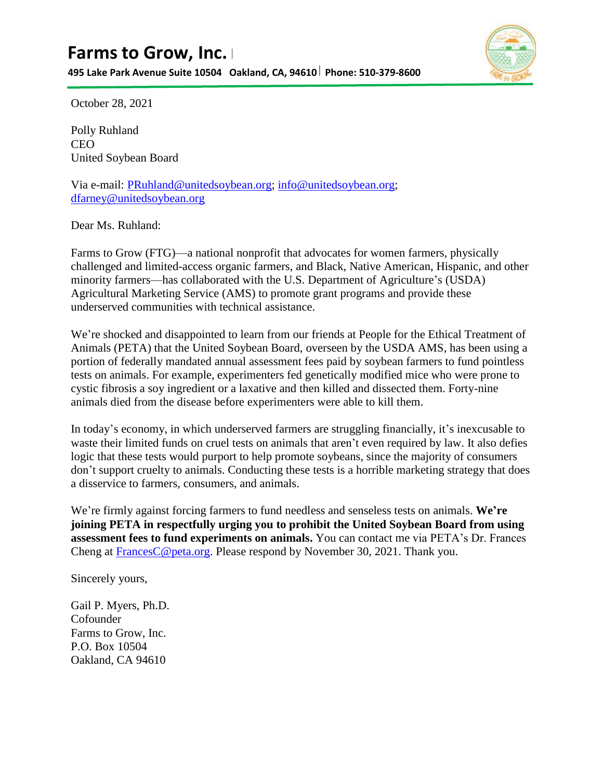**495 Lake Park Avenue Suite 10504 Oakland, CA, 94610 Phone: 510-379-8600**



October 28, 2021

Polly Ruhland CEO United Soybean Board

Via e-mail: [PRuhland@unitedsoybean.org;](mailto:PRuhland@unitedsoybean.org) [info@unitedsoybean.org;](mailto:info@unitedsoybean.org) [dfarney@unitedsoybean.org](mailto:dfarney@unitedsoybean.org)

Dear Ms. Ruhland:

Farms to Grow (FTG)—a national nonprofit that advocates for women farmers, physically challenged and limited-access organic farmers, and Black, Native American, Hispanic, and other minority farmers—has collaborated with the U.S. Department of Agriculture's (USDA) Agricultural Marketing Service (AMS) to promote grant programs and provide these underserved communities with technical assistance.

We're shocked and disappointed to learn from our friends at People for the Ethical Treatment of Animals (PETA) that the United Soybean Board, overseen by the USDA AMS, has been using a portion of federally mandated annual assessment fees paid by soybean farmers to fund pointless tests on animals. For example, experimenters fed genetically modified mice who were prone to cystic fibrosis a soy ingredient or a laxative and then killed and dissected them. Forty-nine animals died from the disease before experimenters were able to kill them.

In today's economy, in which underserved farmers are struggling financially, it's inexcusable to waste their limited funds on cruel tests on animals that aren't even required by law. It also defies logic that these tests would purport to help promote soybeans, since the majority of consumers don't support cruelty to animals. Conducting these tests is a horrible marketing strategy that does a disservice to farmers, consumers, and animals.

We're firmly against forcing farmers to fund needless and senseless tests on animals. **We're joining PETA in respectfully urging you to prohibit the United Soybean Board from using assessment fees to fund experiments on animals.** You can contact me via PETA's Dr. Frances Cheng at [FrancesC@peta.org.](mailto:FrancesC@peta.org) Please respond by November 30, 2021. Thank you.

Sincerely yours,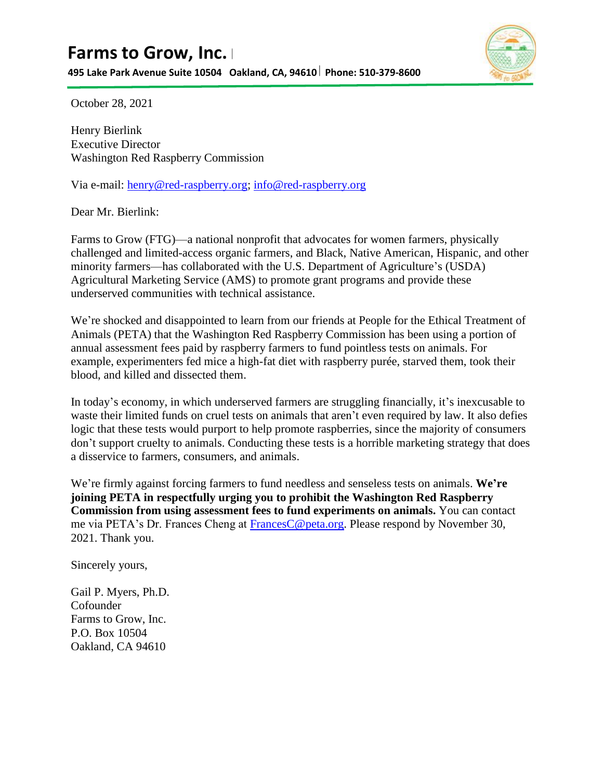**495 Lake Park Avenue Suite 10504 Oakland, CA, 94610 Phone: 510-379-8600**



October 28, 2021

Henry Bierlink Executive Director Washington Red Raspberry Commission

Via e-mail: [henry@red-raspberry.org;](mailto:henry@red-raspberry.org) [info@red-raspberry.org](mailto:info@red-raspberry.org)

Dear Mr. Bierlink:

Farms to Grow (FTG)—a national nonprofit that advocates for women farmers, physically challenged and limited-access organic farmers, and Black, Native American, Hispanic, and other minority farmers—has collaborated with the U.S. Department of Agriculture's (USDA) Agricultural Marketing Service (AMS) to promote grant programs and provide these underserved communities with technical assistance.

We're shocked and disappointed to learn from our friends at People for the Ethical Treatment of Animals (PETA) that the Washington Red Raspberry Commission has been using a portion of annual assessment fees paid by raspberry farmers to fund pointless tests on animals. For example, experimenters fed mice a high-fat diet with raspberry purée, starved them, took their blood, and killed and dissected them.

In today's economy, in which underserved farmers are struggling financially, it's inexcusable to waste their limited funds on cruel tests on animals that aren't even required by law. It also defies logic that these tests would purport to help promote raspberries, since the majority of consumers don't support cruelty to animals. Conducting these tests is a horrible marketing strategy that does a disservice to farmers, consumers, and animals.

We're firmly against forcing farmers to fund needless and senseless tests on animals. **We're joining PETA in respectfully urging you to prohibit the Washington Red Raspberry Commission from using assessment fees to fund experiments on animals.** You can contact me via PETA's Dr. Frances Cheng at Frances C@peta.org. Please respond by November 30, 2021. Thank you.

Sincerely yours,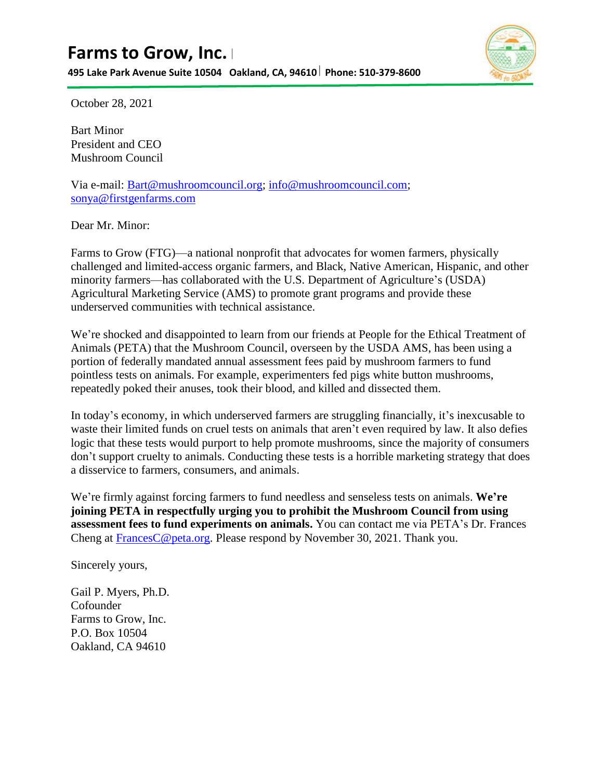**495 Lake Park Avenue Suite 10504 Oakland, CA, 94610 Phone: 510-379-8600**



October 28, 2021

Bart Minor President and CEO Mushroom Council

Via e-mail: [Bart@mushroomcouncil.org;](mailto:Bart@mushroomcouncil.org) [info@mushroomcouncil.com;](mailto:info@mushroomcouncil.com) [sonya@firstgenfarms.com](mailto:sonya@firstgenfarms.com)

Dear Mr. Minor:

Farms to Grow (FTG)—a national nonprofit that advocates for women farmers, physically challenged and limited-access organic farmers, and Black, Native American, Hispanic, and other minority farmers—has collaborated with the U.S. Department of Agriculture's (USDA) Agricultural Marketing Service (AMS) to promote grant programs and provide these underserved communities with technical assistance.

We're shocked and disappointed to learn from our friends at People for the Ethical Treatment of Animals (PETA) that the Mushroom Council, overseen by the USDA AMS, has been using a portion of federally mandated annual assessment fees paid by mushroom farmers to fund pointless tests on animals. For example, experimenters fed pigs white button mushrooms, repeatedly poked their anuses, took their blood, and killed and dissected them.

In today's economy, in which underserved farmers are struggling financially, it's inexcusable to waste their limited funds on cruel tests on animals that aren't even required by law. It also defies logic that these tests would purport to help promote mushrooms, since the majority of consumers don't support cruelty to animals. Conducting these tests is a horrible marketing strategy that does a disservice to farmers, consumers, and animals.

We're firmly against forcing farmers to fund needless and senseless tests on animals. **We're joining PETA in respectfully urging you to prohibit the Mushroom Council from using assessment fees to fund experiments on animals.** You can contact me via PETA's Dr. Frances Cheng at [FrancesC@peta.org.](mailto:FrancesC@peta.org) Please respond by November 30, 2021. Thank you.

Sincerely yours,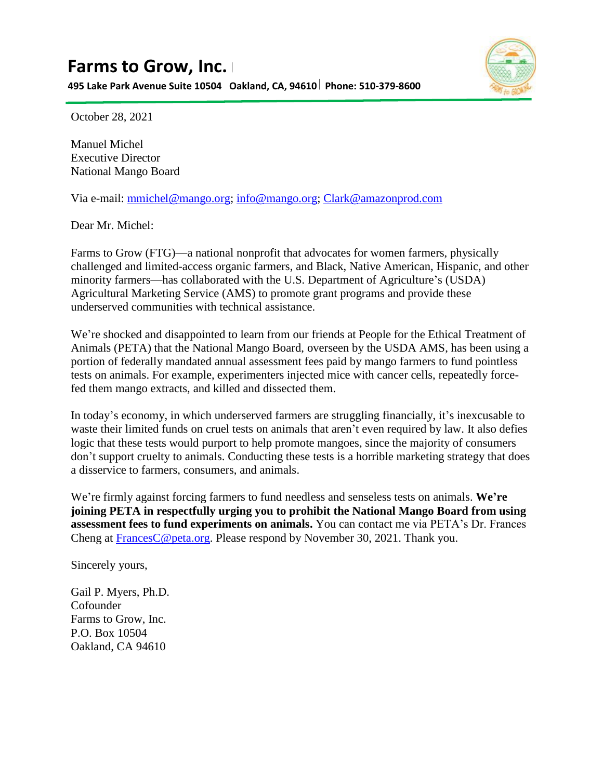**495 Lake Park Avenue Suite 10504 Oakland, CA, 94610 Phone: 510-379-8600**



October 28, 2021

Manuel Michel Executive Director National Mango Board

Via e-mail: [mmichel@mango.org;](mailto:mmichel@mango.org) [info@mango.org;](mailto:info@mango.org) [Clark@amazonprod.com](mailto:Clark@amazonprod.com)

Dear Mr. Michel:

Farms to Grow (FTG)—a national nonprofit that advocates for women farmers, physically challenged and limited-access organic farmers, and Black, Native American, Hispanic, and other minority farmers—has collaborated with the U.S. Department of Agriculture's (USDA) Agricultural Marketing Service (AMS) to promote grant programs and provide these underserved communities with technical assistance.

We're shocked and disappointed to learn from our friends at People for the Ethical Treatment of Animals (PETA) that the National Mango Board, overseen by the USDA AMS, has been using a portion of federally mandated annual assessment fees paid by mango farmers to fund pointless tests on animals. For example, experimenters injected mice with cancer cells, repeatedly forcefed them mango extracts, and killed and dissected them.

In today's economy, in which underserved farmers are struggling financially, it's inexcusable to waste their limited funds on cruel tests on animals that aren't even required by law. It also defies logic that these tests would purport to help promote mangoes, since the majority of consumers don't support cruelty to animals. Conducting these tests is a horrible marketing strategy that does a disservice to farmers, consumers, and animals.

We're firmly against forcing farmers to fund needless and senseless tests on animals. **We're joining PETA in respectfully urging you to prohibit the National Mango Board from using assessment fees to fund experiments on animals.** You can contact me via PETA's Dr. Frances Cheng at [FrancesC@peta.org.](mailto:FrancesC@peta.org) Please respond by November 30, 2021. Thank you.

Sincerely yours,